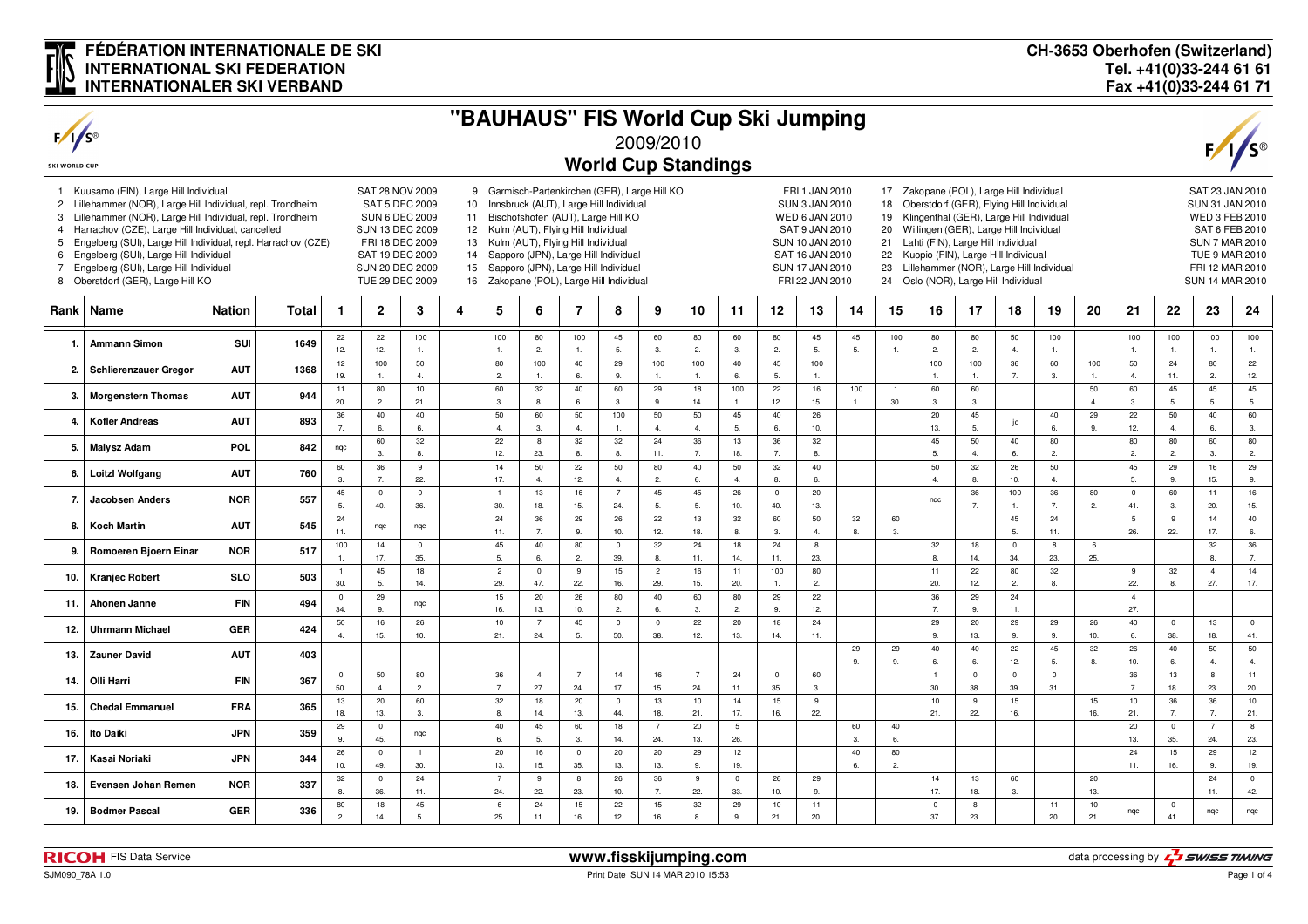# **FÉDÉRATION INTERNATIONALE DE SKI INTERNATIONAL SKI FEDERATION INTERNATIONALER SKI VERBAND**

|                  | "BAUHAUS" FIS World Cup Ski Jumping<br>$F/\sqrt{S^{\circ}}$<br>2009/2010                                                                                                                                                                                                                                                                                                                                                |                                                                                                                                                          |                                                                                                                                                                                                                                                                 |                       |                                                                                |                    |   |                       |                       |                                                                                                                                                                                                                                                                                                                                                                                                                                                                                                                                                      |                       |                       |                            |                        |                                |                       |                     |                       |                         |                                                                                                                                                                       |                         |                      |           |                         |                       |                       |                         |
|------------------|-------------------------------------------------------------------------------------------------------------------------------------------------------------------------------------------------------------------------------------------------------------------------------------------------------------------------------------------------------------------------------------------------------------------------|----------------------------------------------------------------------------------------------------------------------------------------------------------|-----------------------------------------------------------------------------------------------------------------------------------------------------------------------------------------------------------------------------------------------------------------|-----------------------|--------------------------------------------------------------------------------|--------------------|---|-----------------------|-----------------------|------------------------------------------------------------------------------------------------------------------------------------------------------------------------------------------------------------------------------------------------------------------------------------------------------------------------------------------------------------------------------------------------------------------------------------------------------------------------------------------------------------------------------------------------------|-----------------------|-----------------------|----------------------------|------------------------|--------------------------------|-----------------------|---------------------|-----------------------|-------------------------|-----------------------------------------------------------------------------------------------------------------------------------------------------------------------|-------------------------|----------------------|-----------|-------------------------|-----------------------|-----------------------|-------------------------|
|                  |                                                                                                                                                                                                                                                                                                                                                                                                                         |                                                                                                                                                          |                                                                                                                                                                                                                                                                 |                       |                                                                                |                    |   |                       |                       |                                                                                                                                                                                                                                                                                                                                                                                                                                                                                                                                                      |                       |                       |                            |                        |                                |                       |                     |                       |                         |                                                                                                                                                                       |                         |                      |           |                         |                       |                       | $F/\sqrt{S^{\circ}}$    |
| SKI WORLD CUP    |                                                                                                                                                                                                                                                                                                                                                                                                                         |                                                                                                                                                          |                                                                                                                                                                                                                                                                 |                       |                                                                                |                    |   |                       |                       |                                                                                                                                                                                                                                                                                                                                                                                                                                                                                                                                                      |                       |                       | <b>World Cup Standings</b> |                        |                                |                       |                     |                       |                         |                                                                                                                                                                       |                         |                      |           |                         |                       |                       |                         |
| 6<br>$7^{\circ}$ | 1 Kuusamo (FIN), Large Hill Individual<br>2 Lillehammer (NOR), Large Hill Individual, repl. Trondheim<br>3 Lillehammer (NOR), Large Hill Individual, repl. Trondheim<br>4 Harrachov (CZE), Large Hill Individual, cancelled<br>5 Engelberg (SUI), Large Hill Individual, repl. Harrachov (CZE)<br>Engelberg (SUI), Large Hill Individual<br>Engelberg (SUI), Large Hill Individual<br>8 Oberstdorf (GER), Large Hill KO | SAT 28 NOV 2009<br>SAT 5 DEC 2009<br>10 <sup>1</sup><br>SUN 6 DEC 2009<br>SUN 13 DEC 2009<br>FRI 18 DEC 2009<br>SAT 19 DEC 2009<br>15<br>TUE 29 DEC 2009 | 9 Garmisch-Partenkirchen (GER), Large Hill KO<br>11 Bischofshofen (AUT), Large Hill KO<br>12 Kulm (AUT), Flying Hill Individual<br>13 Kulm (AUT), Flying Hill Individual<br>14 Sapporo (JPN), Large Hill Individual<br>16 Zakopane (POL), Large Hill Individual |                       | Innsbruck (AUT), Large Hill Individual<br>Sapporo (JPN), Large Hill Individual |                    |   |                       |                       | FRI 1 JAN 2010<br>17 Zakopane (POL), Large Hill Individual<br>Oberstdorf (GER), Flying Hill Individual<br><b>SUN 3 JAN 2010</b><br>18<br>Klingenthal (GER), Large Hill Individual<br><b>WED 6 JAN 2010</b><br>19<br>Willingen (GER), Large Hill Individual<br>SAT 9 JAN 2010<br>20<br>Lahti (FIN), Large Hill Individual<br>SUN 10 JAN 2010<br>21<br>Kuopio (FIN), Large Hill Individual<br>SAT 16 JAN 2010<br>22<br>Lillehammer (NOR), Large Hill Individual<br>SUN 17 JAN 2010<br>23<br>Oslo (NOR), Large Hill Individual<br>FRI 22 JAN 2010<br>24 |                       |                       |                            |                        |                                |                       |                     |                       |                         | SAT 23 JAN 2010<br>SUN 31 JAN 2010<br>WED 3 FEB 2010<br>SAT 6 FEB 2010<br><b>SUN 7 MAR 2010</b><br><b>TUE 9 MAR 2010</b><br>FRI 12 MAR 2010<br><b>SUN 14 MAR 2010</b> |                         |                      |           |                         |                       |                       |                         |
| <b>Rank</b>      | Name                                                                                                                                                                                                                                                                                                                                                                                                                    | <b>Nation</b>                                                                                                                                            | <b>Total</b>                                                                                                                                                                                                                                                    | 1                     | $\mathbf{2}$                                                                   | 3                  | 4 | 5                     | 6                     | 7                                                                                                                                                                                                                                                                                                                                                                                                                                                                                                                                                    | 8                     | 9                     | 10                         | 11                     | 12                             | 13                    | 14                  | 15                    | 16                      | 17                                                                                                                                                                    | 18                      | 19                   | 20        | 21                      | 22                    | 23                    | 24                      |
| -1.              | <b>Ammann Simon</b>                                                                                                                                                                                                                                                                                                                                                                                                     | SUI                                                                                                                                                      | 1649                                                                                                                                                                                                                                                            | 22<br>12.             | 22<br>12.                                                                      | 100<br>1.          |   | 100<br>$\mathbf{1}$   | 80<br>2.              | 100<br>$\overline{1}$                                                                                                                                                                                                                                                                                                                                                                                                                                                                                                                                | 45<br>5.              | 60<br>$\mathbf{3}$    | 80<br>2.                   | 60<br>3.               | 80<br>$\overline{2}$           | 45<br>5.              | 45<br>5.            | 100<br>1.             | 80<br>2.                | 80<br>$\overline{2}$                                                                                                                                                  | 50<br>4 <sub>1</sub>    | 100<br>$\mathbf{1}$  |           | 100<br>$\overline{1}$ . | 100<br>$\overline{1}$ | 100<br>$\mathbf{1}$   | 100<br>$\overline{1}$ . |
| 2.               | Schlierenzauer Gregor                                                                                                                                                                                                                                                                                                                                                                                                   | <b>AUT</b>                                                                                                                                               | 1368                                                                                                                                                                                                                                                            | 12<br>19.             | 100<br>$\overline{1}$ .                                                        | 50<br>4.           |   | 80<br>$\overline{2}$  | 100<br>1.             | 40<br>6.                                                                                                                                                                                                                                                                                                                                                                                                                                                                                                                                             | 29<br>9.              | 100<br>$\mathbf{1}$ . | 100                        | 40<br>6.               | 45<br>5.                       | 100<br>$\mathbf{1}$ . |                     |                       | 100<br>$\overline{1}$ . | 100<br>-1                                                                                                                                                             | 36<br>7.                | 60<br>3.             | 100<br>1. | 50<br>4.                | 24<br>11.             | 80<br>2.              | 22<br>12.               |
| 3.               | <b>Morgenstern Thomas</b>                                                                                                                                                                                                                                                                                                                                                                                               | <b>AUT</b>                                                                                                                                               | 944                                                                                                                                                                                                                                                             | 11<br>20.             | 80<br>$\overline{2}$                                                           | 10<br>21.          |   | 60<br>3.              | 32<br>8.              | 40<br>6.                                                                                                                                                                                                                                                                                                                                                                                                                                                                                                                                             | 60<br>3.              | 29<br>9.              | 18<br>14.                  | 100<br>1.              | 22<br>12.                      | 16<br>15.             | 100<br>$\mathbf{1}$ | $\overline{1}$<br>30. | 60<br>3.                | 60<br>$\mathbf{3}$                                                                                                                                                    |                         |                      | 50<br>4.  | 60<br>3.                | 45<br>5.              | 45<br>5.              | 45<br>5.                |
| 4.               | <b>Kofler Andreas</b>                                                                                                                                                                                                                                                                                                                                                                                                   | <b>AUT</b>                                                                                                                                               | 893                                                                                                                                                                                                                                                             | 36<br>7.              | 40<br>6.                                                                       | 40<br>6.           |   | 50<br>$\overline{4}$  | 60<br>3.              | 50<br>4.                                                                                                                                                                                                                                                                                                                                                                                                                                                                                                                                             | 100<br>1.             | 50<br>$\mathbf{4}$    | 50<br>4.                   | 45<br>5.               | 40<br>6.                       | 26<br>10.             |                     |                       | 20<br>13.               | 45<br>5.                                                                                                                                                              | ijc                     | 40<br>6.             | 29<br>9.  | 22<br>12.               | 50<br>$\overline{4}$  | 40<br>6.              | 60<br>3.                |
| 5.               | <b>Malysz Adam</b>                                                                                                                                                                                                                                                                                                                                                                                                      | <b>POL</b>                                                                                                                                               | 842                                                                                                                                                                                                                                                             | nqc                   | 60<br>3.                                                                       | 32<br>8.           |   | 22<br>12.             | 8<br>23.              | 32<br>8.                                                                                                                                                                                                                                                                                                                                                                                                                                                                                                                                             | 32<br>8.              | 24<br>11.             | 36<br>7.                   | 13<br>18.              | 36<br>7.                       | 32<br>8.              |                     |                       | 45<br>5.                | 50<br>$\overline{4}$                                                                                                                                                  | 40<br>6.                | 80<br>2.             |           | 80<br>$\overline{2}$ .  | 80<br>$\overline{2}$  | 60<br>3.              | 80<br>2.                |
| 6.               | Loitzl Wolfgang                                                                                                                                                                                                                                                                                                                                                                                                         | <b>AUT</b>                                                                                                                                               | 760                                                                                                                                                                                                                                                             | 60<br>3.              | 36<br>7.                                                                       | 9<br>22.           |   | 14<br>17.             | 50<br>4.              | 22<br>12.                                                                                                                                                                                                                                                                                                                                                                                                                                                                                                                                            | 50<br>4.              | 80<br>$\overline{2}$  | 40<br>6.                   | 50<br>4.               | 32<br>8.                       | 40<br>6.              |                     |                       | 50<br>$\overline{4}$    | 32<br>8                                                                                                                                                               | 26<br>10.               | 50<br>$\overline{4}$ |           | 45<br>5.                | 29<br>9.              | 16<br>15.             | 29<br>9.                |
| 7.               | <b>Jacobsen Anders</b>                                                                                                                                                                                                                                                                                                                                                                                                  | <b>NOR</b>                                                                                                                                               | 557                                                                                                                                                                                                                                                             | 45<br>5.              | $\mathbf 0$<br>40.                                                             | $\mathsf 0$<br>36. |   | $\overline{1}$<br>30. | 13<br>18.             | 16<br>15.                                                                                                                                                                                                                                                                                                                                                                                                                                                                                                                                            | $\overline{7}$<br>24. | 45<br>5.              | 45<br>5.                   | 26<br>10.              | $\overline{\mathbf{0}}$<br>40. | 20<br>13.             |                     |                       | ngc                     | 36<br>$\overline{7}$                                                                                                                                                  | 100<br>$\overline{1}$ . | 36<br>7.             | 80<br>2.  | $\overline{0}$<br>41.   | 60<br>3.              | 11<br>20.             | 16<br>15.               |
| 8.               | <b>Koch Martin</b>                                                                                                                                                                                                                                                                                                                                                                                                      | <b>AUT</b>                                                                                                                                               | 545                                                                                                                                                                                                                                                             | 24<br>11.             | ngc                                                                            | nqc                |   | 24                    | 36                    | 29                                                                                                                                                                                                                                                                                                                                                                                                                                                                                                                                                   | 26                    | 22                    | 13                         | 32                     | 60                             | 50                    | 32                  | 60                    |                         |                                                                                                                                                                       | 45                      | 24                   |           | 5                       | 9                     | 14                    | 40                      |
| 9.               | Romoeren Bjoern Einar                                                                                                                                                                                                                                                                                                                                                                                                   | <b>NOR</b>                                                                                                                                               | 517                                                                                                                                                                                                                                                             | 100                   | 14                                                                             | $\mathbf 0$        |   | 11.<br>45             | 7.<br>40              | 9.<br>80                                                                                                                                                                                                                                                                                                                                                                                                                                                                                                                                             | 10.<br>$\mathbf 0$    | 12.<br>32             | 18.<br>24                  | 8.<br>18               | 3.<br>24                       | 4.<br>8               | 8.                  | 3.                    | 32                      | 18                                                                                                                                                                    | 5.<br>$\mathsf 0$       | 11.<br>8             | 6         | 26.                     | 22.                   | 17.<br>32             | 6.<br>$36\,$            |
| 10.              | <b>Kranjec Robert</b>                                                                                                                                                                                                                                                                                                                                                                                                   | <b>SLO</b>                                                                                                                                               | 503                                                                                                                                                                                                                                                             | 1.<br>$\overline{1}$  | 17.<br>45                                                                      | 35.<br>18          |   | 5.<br>2               | 6.<br>$\overline{0}$  | 2.<br>9                                                                                                                                                                                                                                                                                                                                                                                                                                                                                                                                              | 39.<br>15             | 8.<br>$\overline{c}$  | 11.<br>16                  | 14.<br>11              | 11.<br>100                     | 23.<br>80             |                     |                       | 8.<br>11                | 14.<br>22                                                                                                                                                             | 34.<br>80               | 23.<br>32            | 25.       | 9                       | 32                    | 8.<br>$\overline{4}$  | 7.<br>14                |
|                  |                                                                                                                                                                                                                                                                                                                                                                                                                         |                                                                                                                                                          |                                                                                                                                                                                                                                                                 | 30.<br>$\overline{0}$ | 5.<br>29                                                                       | 14.                |   | 29.<br>15             | 47.<br>20             | 22.<br>26                                                                                                                                                                                                                                                                                                                                                                                                                                                                                                                                            | 16.<br>80             | 29.<br>40             | 15.<br>60                  | 20.<br>80              | $\overline{1}$<br>29           | 2.<br>22              |                     |                       | 20.<br>36               | 12.<br>29                                                                                                                                                             | 2.<br>24                | 8.                   |           | 22.<br>$\overline{4}$   | 8.                    | 27.                   | 17.                     |
| 11.              | <b>Ahonen Janne</b>                                                                                                                                                                                                                                                                                                                                                                                                     | <b>FIN</b>                                                                                                                                               | 494                                                                                                                                                                                                                                                             | 34.<br>50             | 9.<br>16                                                                       | nqc<br>26          |   | 16.<br>10             | 13.<br>$\overline{7}$ | 10.<br>45                                                                                                                                                                                                                                                                                                                                                                                                                                                                                                                                            | 2.<br>$\Omega$        | 6.<br>$\overline{0}$  | 3.<br>22                   | 2.<br>20               | 9.<br>18                       | 12.<br>24             |                     |                       | 7.<br>29                | 9.<br>20                                                                                                                                                              | 11.<br>29               | 29                   | 26        | 27.<br>40               | $\mathbf{0}$          | 13                    | $\mathbf{0}$            |
| 12.              | <b>Uhrmann Michael</b>                                                                                                                                                                                                                                                                                                                                                                                                  | <b>GER</b>                                                                                                                                               | 424                                                                                                                                                                                                                                                             | $\overline{4}$ .      | 15.                                                                            | 10.                |   | 21.                   | 24.                   | 5.                                                                                                                                                                                                                                                                                                                                                                                                                                                                                                                                                   | 50.                   | 38.                   | 12.                        | 13.                    | 14.                            | 11.                   |                     |                       | 9.<br>40                | 13.<br>40                                                                                                                                                             | 9.                      | 9.                   | 10.<br>32 | 6.                      | 38.<br>40             | 18.<br>50             | 41.<br>50               |
| 13.              | <b>Zauner David</b>                                                                                                                                                                                                                                                                                                                                                                                                     | <b>AUT</b>                                                                                                                                               | 403                                                                                                                                                                                                                                                             |                       |                                                                                |                    |   |                       |                       |                                                                                                                                                                                                                                                                                                                                                                                                                                                                                                                                                      |                       |                       |                            |                        |                                |                       | 29<br>9.            | 29<br>9               | 6.                      | 6.                                                                                                                                                                    | 22<br>12.               | 45<br>5.             | 8.        | 26<br>10.               | 6.                    | $\overline{4}$        | 4.                      |
| 14.              | Olli Harri                                                                                                                                                                                                                                                                                                                                                                                                              | <b>FIN</b>                                                                                                                                               | 367                                                                                                                                                                                                                                                             | $\mathbf 0$<br>50.    | 50<br>$\overline{4}$                                                           | 80<br>2.           |   | 36<br>7.              | $\overline{4}$<br>27. | $\overline{7}$<br>24.                                                                                                                                                                                                                                                                                                                                                                                                                                                                                                                                | 14<br>17.             | 16<br>15.             | $7\overline{ }$<br>24.     | 24<br>11.              | $\overline{0}$<br>35.          | 60<br>3.              |                     |                       | $\overline{1}$<br>30.   | $\mathbf 0$<br>38.                                                                                                                                                    | $\mathsf 0$<br>39.      | $^{\circ}$<br>31.    |           | 36<br>7 <sub>1</sub>    | 13<br>18.             | 8<br>23.              | 11<br>20.               |
| 15.              | <b>Chedal Emmanuel</b>                                                                                                                                                                                                                                                                                                                                                                                                  | <b>FRA</b>                                                                                                                                               | 365                                                                                                                                                                                                                                                             | 13<br>18.             | 20<br>13.                                                                      | 60<br>3.           |   | 32<br>8.              | 18<br>14.             | 20<br>13.                                                                                                                                                                                                                                                                                                                                                                                                                                                                                                                                            | $\mathbf 0$<br>44.    | 13<br>18.             | 10<br>21.                  | 14<br>17.              | 15<br>16.                      | 9<br>22.              |                     |                       | 10<br>21.               | 9<br>22.                                                                                                                                                              | 15<br>16.               |                      | 15<br>16. | 10<br>21.               | 36<br>$\overline{7}$  | 36<br>7.              | 10<br>21.               |
| 16.              | <b>Ito Daiki</b>                                                                                                                                                                                                                                                                                                                                                                                                        | <b>JPN</b>                                                                                                                                               | 359                                                                                                                                                                                                                                                             | 29<br>9.              | $\mathbf 0$<br>45.                                                             | nqc                |   | 40<br>6.              | 45<br>5.              | 60<br>3.                                                                                                                                                                                                                                                                                                                                                                                                                                                                                                                                             | 18<br>14.             | $\overline{7}$<br>24. | $20\,$<br>13.              | $5\phantom{.0}$<br>26. |                                |                       | 60<br>$\mathbf{3}$  | 40<br>6.              |                         |                                                                                                                                                                       |                         |                      |           | 20<br>13.               | $\mathbf 0$<br>35.    | $\overline{7}$<br>24. | 8<br>23.                |
| 17.              | Kasai Noriaki                                                                                                                                                                                                                                                                                                                                                                                                           | <b>JPN</b>                                                                                                                                               | 344                                                                                                                                                                                                                                                             | 26<br>10.             | $\mathbf 0$<br>49.                                                             | 1<br>30.           |   | 20<br>13.             | 16<br>15.             | $\mathbf 0$<br>35.                                                                                                                                                                                                                                                                                                                                                                                                                                                                                                                                   | 20<br>13.             | 20<br>13.             | 29<br>9.                   | 12<br>19.              |                                |                       | 40<br>6.            | 80<br>2.              |                         |                                                                                                                                                                       |                         |                      |           | 24<br>11.               | 15<br>16.             | 29<br>9.              | 12<br>19.               |
| 18.              | Evensen Johan Remen                                                                                                                                                                                                                                                                                                                                                                                                     | <b>NOR</b>                                                                                                                                               | 337                                                                                                                                                                                                                                                             | 32<br>$\mathbf{8}$    | $^{\circ}$<br>36.                                                              | 24<br>11.          |   | $\overline{7}$<br>24. | 9<br>22.              | 8<br>23.                                                                                                                                                                                                                                                                                                                                                                                                                                                                                                                                             | 26<br>10.             | 36<br>7.              | 9<br>22.                   | $\mathbf 0$<br>33.     | 26<br>10.                      | 29<br>9.              |                     |                       | 14<br>17.               | 13<br>18.                                                                                                                                                             | 60<br>3.                |                      | 20<br>13. |                         |                       | 24<br>11.             | $\overline{0}$<br>42.   |
| 19.              | <b>Bodmer Pascal</b>                                                                                                                                                                                                                                                                                                                                                                                                    | <b>GER</b>                                                                                                                                               | 336                                                                                                                                                                                                                                                             | 80                    | 18                                                                             | 45                 |   | 6                     | 24                    | 15                                                                                                                                                                                                                                                                                                                                                                                                                                                                                                                                                   | 22                    | 15                    | 32                         | 29                     | 10                             | 11                    |                     |                       | $\mathbf 0$             | 8                                                                                                                                                                     |                         | 11                   | 10        | ngc                     | $\overline{0}$        | nqc                   | ngc                     |
|                  |                                                                                                                                                                                                                                                                                                                                                                                                                         |                                                                                                                                                          |                                                                                                                                                                                                                                                                 | $\overline{2}$        | 14.                                                                            | 5.                 |   | 25.                   | 11.                   | 16.                                                                                                                                                                                                                                                                                                                                                                                                                                                                                                                                                  | 12.                   | 16.                   | $\mathbf{R}$               | $\mathsf{Q}$           | 21                             | 20.                   |                     |                       | 37.                     | 23.                                                                                                                                                                   |                         | 20.                  | 21.       |                         | 41.                   |                       |                         |

| - 201<br>-15 Dala Service         | --<br><b>MANAZAZ</b><br>∵tısskijumping.com | I SWISS TIMING<br>ືງໆ hv⊥<br>data processin |
|-----------------------------------|--------------------------------------------|---------------------------------------------|
| $S1$ MO <sub>90</sub> 78 $\Delta$ | $C$ IN 14 MAR 2010 15:53<br>Print Date     | Page 1 of 4                                 |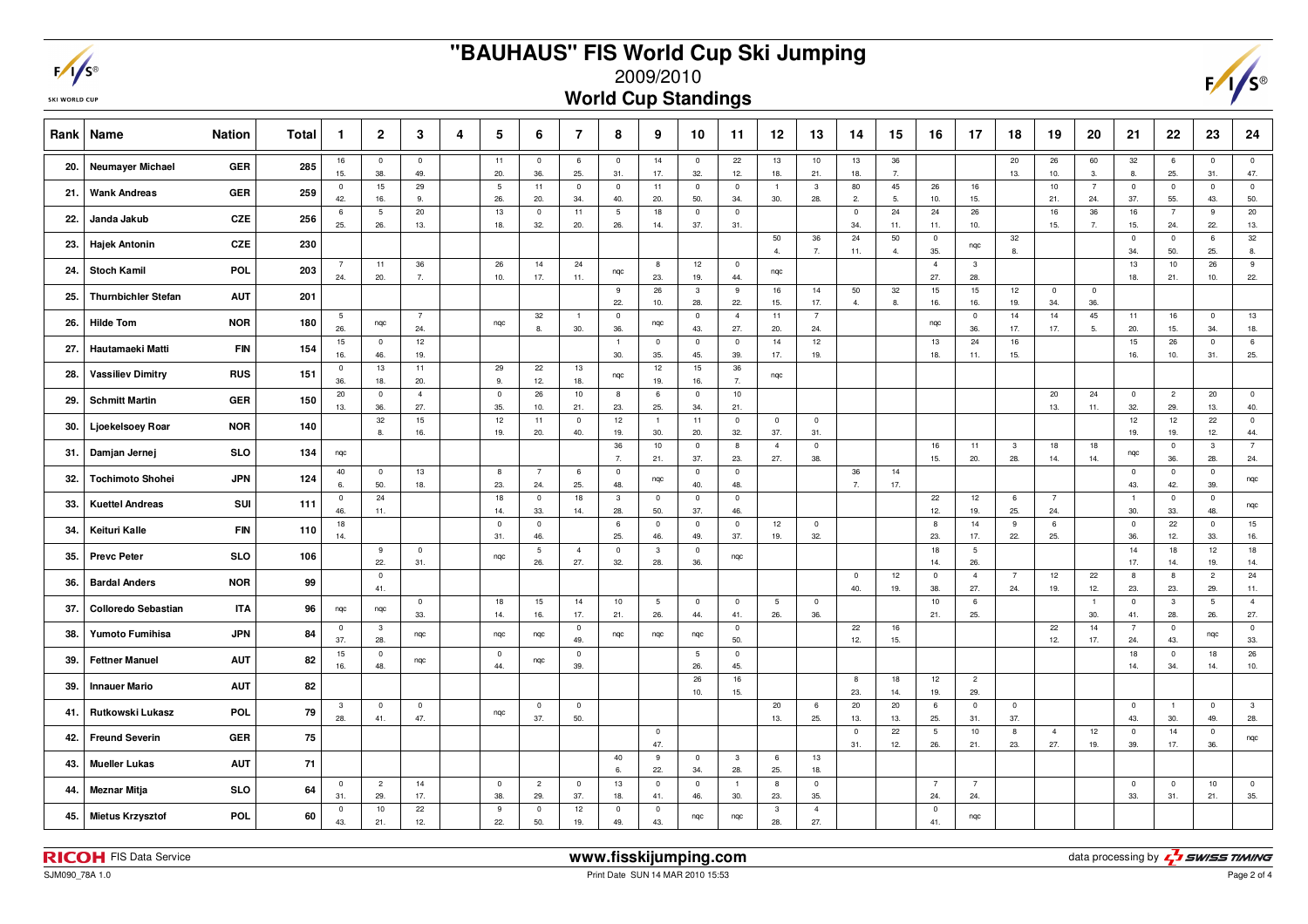SKI WORLD CUP

### **"BAUHAUS" FIS World Cup Ski Jumping**



2009/2010**World Cup Standings**

| Rank | Name                       | <b>Nation</b> | Total | $\mathbf{1}$                   | $\mathbf{2}$           | 3                      | 4 | 5                      | 6                      | $\overline{7}$        | 8                              | 9                      | 10                    | 11                             | 12                             | 13                    | 14                 | 15        | 16                    | 17                     | 18                    | 19                    | 20                    | 21                    | 22                    | 23                     | 24                      |
|------|----------------------------|---------------|-------|--------------------------------|------------------------|------------------------|---|------------------------|------------------------|-----------------------|--------------------------------|------------------------|-----------------------|--------------------------------|--------------------------------|-----------------------|--------------------|-----------|-----------------------|------------------------|-----------------------|-----------------------|-----------------------|-----------------------|-----------------------|------------------------|-------------------------|
| 20.  | <b>Neumayer Michael</b>    | <b>GER</b>    | 285   | 16<br>15.                      | $\overline{0}$<br>38.  | $\overline{0}$<br>49.  |   | 11<br>20.              | $\overline{0}$<br>36.  | 6<br>25.              | $\overline{0}$<br>31.          | 14<br>17.              | $\overline{0}$<br>32. | 22<br>12.                      | 13<br>18.                      | 10<br>21.             | 13<br>18.          | 36<br>7.  |                       |                        | 20<br>13.             | 26<br>10.             | 60<br>3.              | 32<br>8.              | 6<br>25.              | $\overline{0}$<br>31.  | $\mathbf 0$<br>47.      |
| 21.  | <b>Wank Andreas</b>        | <b>GER</b>    | 259   | $\overline{0}$<br>42.          | 15<br>16.              | 29<br>9.               |   | $5\phantom{.0}$<br>26. | 11<br>20.              | $\mathbf 0$<br>34.    | $\mathbf{0}$<br>40.            | 11<br>20.              | $\overline{0}$<br>50. | $\overline{0}$<br>34.          | $\overline{1}$<br>30.          | $\mathbf{3}$<br>28.   | 80<br>2.           | 45<br>5.  | 26<br>10.             | 16<br>15.              |                       | 10<br>21.             | $\overline{7}$<br>24. | $\overline{0}$<br>37. | $\overline{0}$<br>55. | $\mathbf 0$<br>43.     | $\mathbb O$<br>50.      |
| 22.  | Janda Jakub                | <b>CZE</b>    | 256   | 6<br>25.                       | $5\phantom{.0}$<br>26. | 20<br>13.              |   | 13<br>18.              | $\mathbf 0$<br>32.     | 11<br>20.             | $5\phantom{.0}$<br>26.         | 18<br>14.              | $\mathbb O$<br>37.    | $\overline{0}$<br>31.          |                                |                       | $\mathbf 0$<br>34. | 24<br>11. | 24<br>11.             | 26<br>10.              |                       | 16<br>15.             | 36<br>7.              | 16<br>15.             | $\overline{7}$<br>24. | 9<br>22.               | $20\,$<br>13.           |
| 23.  | Hajek Antonin              | <b>CZE</b>    | 230   |                                |                        |                        |   |                        |                        |                       |                                |                        |                       |                                | 50<br>4.                       | 36<br>7.              | 24<br>11.          | 50<br>4.  | $\overline{0}$<br>35. | nqc                    | 32<br>8.              |                       |                       | $\mathbf 0$<br>34.    | $\overline{0}$<br>50. | 6<br>25.               | 32<br>8.                |
| 24.  | <b>Stoch Kamil</b>         | <b>POL</b>    | 203   | $\overline{7}$<br>24.          | 11<br>20.              | 36<br>7.               |   | 26<br>10.              | 14<br>17.              | 24<br>11.             | nqc                            | 8<br>23.               | 12<br>19.             | $\overline{0}$<br>44.          | nqc                            |                       |                    |           | $\overline{4}$<br>27. | $\mathbf{3}$<br>28.    |                       |                       |                       | 13<br>18.             | 10<br>21.             | 26<br>10.              | $\boldsymbol{9}$<br>22. |
| 25.  | <b>Thurnbichler Stefan</b> | <b>AUT</b>    | 201   |                                |                        |                        |   |                        |                        |                       | 9<br>22.                       | 26<br>10.              | $\mathbf{3}$<br>28.   | 9<br>22.                       | 16<br>15.                      | 14<br>17.             | 50<br>4.           | 32<br>8.  | 15<br>16.             | 15<br>16.              | 12<br>19.             | $\mathbf 0$<br>34.    | $\overline{0}$<br>36. |                       |                       |                        |                         |
| 26.  | <b>Hilde Tom</b>           | <b>NOR</b>    | 180   | $\overline{5}$<br>26.          | nqc                    | $7\overline{ }$<br>24. |   | nqc                    | 32<br>-8.              | $\overline{1}$<br>30. | $\overline{\mathbf{0}}$<br>36. | nqc                    | $\mathbb O$<br>43.    | $\overline{4}$<br>27.          | 11<br>20.                      | $\overline{7}$<br>24. |                    |           | nqc                   | $\mathbf 0$<br>36.     | 14<br>17.             | 14<br>17.             | $45\,$<br>5.          | 11<br>20.             | 16<br>15.             | $\mathbf 0$<br>34.     | $13\,$<br>18.           |
| 27.  | Hautamaeki Matti           | <b>FIN</b>    | 154   | 15<br>16.                      | $\mathbf 0$<br>46.     | 12<br>19.              |   |                        |                        |                       | $\overline{1}$<br>30.          | $\mathbb O$<br>35.     | $\mathbf 0$<br>45.    | $\overline{0}$<br>39.          | 14<br>17.                      | 12<br>19.             |                    |           | 13<br>18.             | 24<br>11.              | 16<br>15.             |                       |                       | 15<br>16.             | 26<br>10.             | $\mathbf 0$<br>31.     | $\,6\,$<br>25.          |
| 28.  | <b>Vassiliev Dimitry</b>   | <b>RUS</b>    | 151   | $\mathbf 0$<br>36.             | 13<br>18.              | 11<br>20.              |   | 29<br>9.               | 22<br>12.              | 13<br>18.             | nqc                            | 12<br>19.              | $15\,$<br>16.         | 36<br>7.                       | nqc                            |                       |                    |           |                       |                        |                       |                       |                       |                       |                       |                        |                         |
| 29.  | <b>Schmitt Martin</b>      | <b>GER</b>    | 150   | 20<br>13.                      | $\mathbf 0$<br>36.     | $\overline{4}$<br>27.  |   | $\mathbf 0$<br>35.     | 26<br>10.              | 10<br>21.             | 8<br>23.                       | 6<br>25.               | $\mathbf 0$<br>34.    | 10<br>21.                      |                                |                       |                    |           |                       |                        |                       | 20<br>13.             | 24<br>11.             | $\mathsf 0$<br>32.    | $\overline{2}$<br>29. | 20<br>13.              | $\mathbf 0$<br>40.      |
| 30.  | Ljoekelsoey Roar           | <b>NOR</b>    | 140   |                                | 32<br>8.               | 15<br>16.              |   | 12<br>19.              | 11<br>20.              | $\mathbf 0$<br>40.    | 12<br>19.                      | $\overline{1}$<br>30.  | 11<br>20.             | $\overline{0}$<br>32.          | $\mathbf 0$<br>37.             | $\pmb{0}$<br>31.      |                    |           |                       |                        |                       |                       |                       | 12<br>19.             | 12<br>19.             | 22<br>12.              | $\overline{0}$<br>44.   |
| 31.  | Damjan Jernej              | <b>SLO</b>    | 134   | nqc                            |                        |                        |   |                        |                        |                       | 36<br>7.                       | 10<br>21.              | $\mathbf 0$<br>37.    | 8<br>23.                       | $\overline{4}$<br>27.          | $\mathbf 0$<br>38.    |                    |           | 16<br>15.             | 11<br>20.              | $\mathbf{3}$<br>28.   | 18<br>14.             | 18<br>14.             | nqc                   | $\overline{0}$<br>36. | $\mathbf{3}$<br>28.    | $\overline{7}$<br>24.   |
| 32.  | <b>Tochimoto Shohei</b>    | <b>JPN</b>    | 124   | $40\,$<br>6.                   | $\mathbf 0$<br>50.     | 13<br>18.              |   | 8<br>23.               | $7\overline{ }$<br>24. | 6<br>25.              | $\mathbf{0}$<br>48.            | ngc                    | $\mathbf 0$<br>40.    | $\overline{0}$<br>48.          |                                |                       | 36<br>7.           | 14<br>17. |                       |                        |                       |                       |                       | $\overline{0}$<br>43. | $\overline{0}$<br>42. | $\mathbf 0$<br>39.     | nqc                     |
| 33.  | <b>Kuettel Andreas</b>     | SUI           | 111   | $\mathbb O$<br>46.             | 24<br>11.              |                        |   | 18<br>14.              | $\mathbf 0$<br>33.     | 18<br>14.             | $\mathbf{3}$<br>28.            | $\mathbf 0$<br>50.     | $\mathbf 0$<br>37.    | $\overline{\mathbf{0}}$<br>46. |                                |                       |                    |           | 22<br>12.             | 12<br>19.              | 6<br>25.              | $\overline{7}$<br>24. |                       | $\overline{1}$<br>30. | $\mathsf 0$<br>33.    | $\mathbf 0$<br>48.     | nqc                     |
| 34.  | Keituri Kalle              | <b>FIN</b>    | 110   | 18<br>14.                      |                        |                        |   | $\mathbf 0$<br>31.     | $\overline{0}$<br>46.  |                       | 6<br>25.                       | $\overline{0}$<br>46.  | $\mathbf{0}$<br>49.   | $\overline{0}$<br>37.          | 12<br>19.                      | $\mathbf{0}$<br>32.   |                    |           | 8<br>23.              | 14<br>17.              | 9<br>22.              | 6<br>25.              |                       | $\overline{0}$<br>36. | 22<br>12.             | $\overline{0}$<br>33.  | 15<br>16.               |
| 35.  | <b>Prevc Peter</b>         | <b>SLO</b>    | 106   |                                | 9<br>22.               | $\mathbf 0$<br>31.     |   | nqc                    | $\overline{5}$<br>26.  | $\overline{4}$<br>27. | $\overline{\mathbf{0}}$<br>32. | -3<br>28.              | $\mathbf{0}$<br>36.   | nqc                            |                                |                       |                    |           | 18<br>14.             | $5\phantom{.0}$<br>26. |                       |                       |                       | 14<br>17.             | 18<br>14.             | 12<br>19.              | 18<br>14.               |
| 36.  | <b>Bardal Anders</b>       | <b>NOR</b>    | 99    |                                | $\overline{0}$<br>41.  |                        |   |                        |                        |                       |                                |                        |                       |                                |                                |                       | $\mathbf 0$<br>40. | 12<br>19. | $\mathbf 0$<br>38.    | $\overline{4}$<br>27.  | $\overline{7}$<br>24. | 12<br>19.             | 22<br>12.             | 8<br>23.              | 8<br>23.              | $\overline{2}$<br>29.  | 24<br>11.               |
| 37.  | <b>Colloredo Sebastian</b> | <b>ITA</b>    | 96    | nqc                            | nqc                    | $\mathbf 0$<br>33.     |   | 18<br>14.              | 15<br>16.              | 14<br>17.             | 10<br>21.                      | $5\phantom{.0}$<br>26. | $\pmb{0}$<br>44.      | $\overline{\mathbf{0}}$<br>41. | 5<br>26.                       | $\mathbf 0$<br>36.    |                    |           | 10<br>21.             | $\,6\,$<br>25.         |                       |                       | $\overline{1}$<br>30. | $\mathbf 0$<br>41.    | $\mathbf{3}$<br>28.   | $5\phantom{.0}$<br>26. | $\overline{4}$<br>27.   |
| 38.  | <b>Yumoto Fumihisa</b>     | <b>JPN</b>    | 84    | $\overline{0}$<br>37.          | $\mathbf{3}$<br>28.    | nqc                    |   | nqc                    | nqc                    | $\overline{0}$<br>49. | nqc                            | nqc                    | nqc                   | $\overline{0}$<br>50.          |                                |                       | 22<br>12.          | 16<br>15. |                       |                        |                       | 22<br>12.             | 14<br>17.             | $\overline{7}$<br>24. | $\overline{0}$<br>43. | nqc                    | $\overline{0}$<br>33.   |
| 39.  | <b>Fettner Manuel</b>      | <b>AUT</b>    | 82    | 15<br>16.                      | $\mathbf{0}$<br>48.    | nqc                    |   | $\overline{0}$<br>44.  | ngc                    | $\overline{0}$<br>39. |                                |                        | 5<br>26.              | $\overline{\mathbf{0}}$<br>45. |                                |                       |                    |           |                       |                        |                       |                       |                       | 18<br>14.             | $\pmb{0}$<br>34.      | 18<br>14.              | 26<br>10.               |
| 39.  | <b>Innauer Mario</b>       | <b>AUT</b>    | 82    |                                |                        |                        |   |                        |                        |                       |                                |                        | 26<br>10.             | 16<br>15.                      |                                |                       | 8<br>23.           | 18<br>14. | 12<br>19.             | $\overline{2}$<br>29.  |                       |                       |                       |                       |                       |                        |                         |
| 41.  | Rutkowski Lukasz           | POL           | 79    | $\overline{\mathbf{3}}$<br>28. | $\mathbf 0$<br>41.     | $\mathbf 0$<br>47.     |   | nqc                    | $\mathbf 0$<br>37.     | $\overline{0}$<br>50. |                                |                        |                       |                                | 20<br>13.                      | 6<br>25.              | 20<br>13.          | 20<br>13. | 6<br>25.              | $\mathbf 0$<br>31.     | $\overline{0}$<br>37. |                       |                       | $\mathbf 0$<br>43.    | $\overline{1}$<br>30. | $\mathbf 0$<br>49.     | $\mathbf{3}$<br>28.     |
| 42.  | <b>Freund Severin</b>      | <b>GER</b>    | 75    |                                |                        |                        |   |                        |                        |                       |                                | $\mathbf 0$<br>47.     |                       |                                |                                |                       | $^{\circ}$<br>31.  | 22<br>12. | 5<br>26.              | 10<br>21.              | 8<br>23.              | $\overline{4}$<br>27. | 12<br>19.             | $\overline{0}$<br>39. | 14<br>17.             | $\mathbf 0$<br>36.     | nqc                     |
| 43.  | <b>Mueller Lukas</b>       | <b>AUT</b>    | 71    |                                |                        |                        |   |                        |                        |                       | 40<br>6.                       | 9<br>22.               | $\mathbf{0}$<br>34.   | $\overline{\mathbf{3}}$<br>28. | 6<br>25.                       | 13<br>18.             |                    |           |                       |                        |                       |                       |                       |                       |                       |                        |                         |
| 44.  | <b>Meznar Mitja</b>        | <b>SLO</b>    | 64    | $\overline{0}$<br>31.          | $\overline{2}$<br>29.  | 14<br>17.              |   | $\mathbf 0$<br>38.     | $\overline{2}$<br>29.  | $\overline{0}$<br>37. | 13<br>18.                      | $\overline{0}$<br>41.  | $\pmb{0}$<br>46.      | $\overline{1}$<br>30.          | 8<br>23.                       | $\pmb{0}$<br>35.      |                    |           | $\overline{7}$<br>24. | $\overline{7}$<br>24.  |                       |                       |                       | $\overline{0}$<br>33. | $\mathbf 0$<br>31.    | 10<br>21.              | $\pmb{0}$<br>35.        |
| 45.  | <b>Mietus Krzysztof</b>    | POL           | 60    | $\overline{0}$<br>43.          | 10<br>21.              | 22<br>12.              |   | 9<br>22.               | $\mathbf 0$<br>50.     | 12<br>19.             | $\mathbb O$<br>49.             | $\mathbf 0$<br>43.     | nqc                   | nqc                            | $\overline{\mathbf{3}}$<br>28. | $\overline{4}$<br>27. |                    |           | $\mathbf 0$<br>41.    | nqc                    |                       |                       |                       |                       |                       |                        |                         |

**RICOH** FIS Data Service **WWW.fisskijumping.com**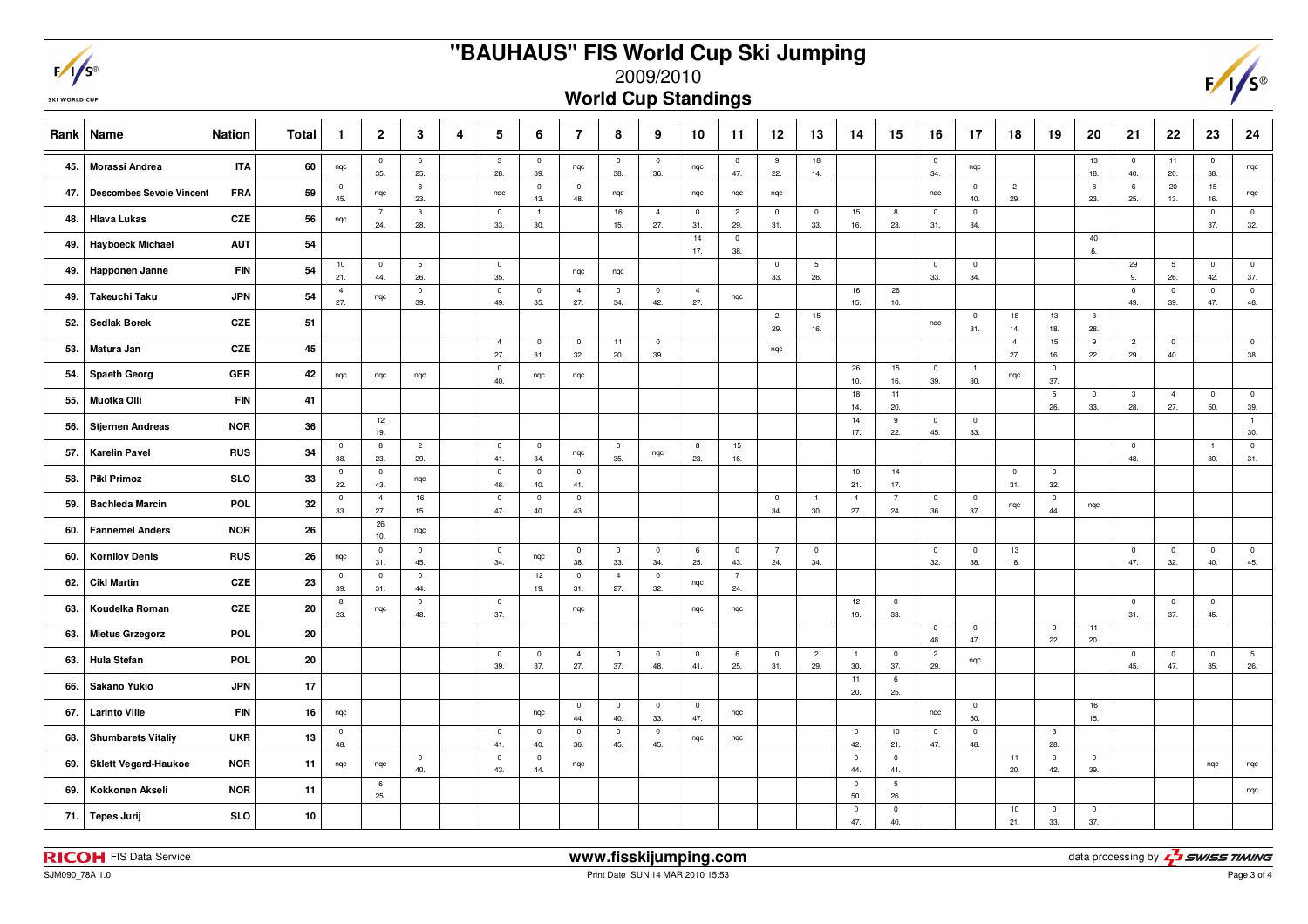| R)<br>ς<br>⊏ |
|--------------|
|--------------|

SKI WORLD CUP

### **"BAUHAUS" FIS World Cup Ski Jumping**



2009/2010**World Cup Standings**

| Rank | Name<br><b>Nation</b>                         | <b>Total</b> | $\mathbf{1}$          | $\overline{2}$                 | 3                      | 4 | 5                     | 6                     | $\overline{7}$                 | 8                     | 9                     | 10                    | 11                     | 12                             | 13                     | 14                    | 15                     | 16                    | 17                             | 18                    | 19                    | 20                             | 21                             | 22                     | 23                    | 24                     |
|------|-----------------------------------------------|--------------|-----------------------|--------------------------------|------------------------|---|-----------------------|-----------------------|--------------------------------|-----------------------|-----------------------|-----------------------|------------------------|--------------------------------|------------------------|-----------------------|------------------------|-----------------------|--------------------------------|-----------------------|-----------------------|--------------------------------|--------------------------------|------------------------|-----------------------|------------------------|
| 45.  | <b>ITA</b><br>Morassi Andrea                  | 60           | nqc                   | $\overline{0}$<br>35.          | 6<br>25.               |   | $\mathbf{3}$<br>28.   | $\overline{0}$<br>39. | nqc                            | $\overline{0}$<br>38. | $\overline{0}$<br>36. | nqc                   | $\overline{0}$<br>47.  | 9<br>22.                       | 18<br>14.              |                       |                        | $\overline{0}$<br>34. | nqc                            |                       |                       | 13<br>18.                      | $\overline{0}$<br>40.          | 11<br>20.              | $\mathsf 0$<br>38.    | nqc                    |
| 47.  | <b>Descombes Sevoie Vincent</b><br><b>FRA</b> | 59           | $\overline{0}$<br>45. | nqc                            | 8<br>23.               |   | nqc                   | $\mathbf{0}$<br>43.   | $\overline{0}$<br>48.          | nqc                   |                       | nqc                   | nqc                    | nqc                            |                        |                       |                        | nqc                   | $\mathbf 0$<br>40.             | $\overline{c}$<br>29. |                       | 8<br>23.                       | 6<br>25.                       | 20<br>13.              | 15<br>16.             | nqc                    |
| 48.  | <b>CZE</b><br><b>Hlava Lukas</b>              | 56           | ngc                   | $\overline{7}$<br>24.          | $\mathbf{3}$<br>28.    |   | $\overline{0}$<br>33. | $\mathbf{1}$<br>30.   |                                | 16<br>15.             | $\overline{4}$<br>27. | $\mathbf 0$<br>31.    | $\overline{2}$<br>29.  | $\overline{0}$<br>31.          | $\overline{0}$<br>33.  | 15<br>16.             | 8<br>23.               | $\mathsf 0$<br>31.    | $\mathbf 0$<br>34.             |                       |                       |                                |                                |                        | $\mathbf 0$<br>37.    | $\mathbf 0$<br>32.     |
| 49.  | <b>AUT</b><br><b>Hayboeck Michael</b>         | 54           |                       |                                |                        |   |                       |                       |                                |                       |                       | 14<br>17.             | $\mathbf 0$<br>38.     |                                |                        |                       |                        |                       |                                |                       |                       | 40<br>6.                       |                                |                        |                       |                        |
| 49.  | Happonen Janne<br><b>FIN</b>                  | 54           | 10<br>21.             | $\mathbf 0$<br>44.             | $5\phantom{.0}$<br>26. |   | $\overline{0}$<br>35. |                       | nqc                            | nqc                   |                       |                       |                        | $\overline{0}$<br>33.          | $5\phantom{.0}$<br>26. |                       |                        | $\circ$<br>33.        | $\overline{0}$<br>34.          |                       |                       |                                | 29<br>9.                       | $5\phantom{.0}$<br>26. | $\circ$<br>42.        | $\mathbf 0$<br>37.     |
| 49.  | <b>JPN</b><br>Takeuchi Taku                   | 54           | $\overline{4}$<br>27. | nqc                            | $\overline{0}$<br>39.  |   | $\overline{0}$<br>49. | $\overline{0}$<br>35. | $\overline{4}$<br>27.          | $\mathbf 0$<br>34.    | $\overline{0}$<br>42. | $\overline{4}$<br>27. | nqc                    |                                |                        | 16<br>15.             | 26<br>10.              |                       |                                |                       |                       |                                | $\overline{0}$<br>49.          | $\mathbf 0$<br>39.     | $\mathsf 0$<br>47.    | $\overline{0}$<br>48.  |
| 52.  | <b>CZE</b><br><b>Sedlak Borek</b>             | 51           |                       |                                |                        |   |                       |                       |                                |                       |                       |                       |                        | $\overline{2}$<br>29.          | 15<br>16.              |                       |                        | nqc                   | $\overline{\mathbf{0}}$<br>31. | 18<br>14.             | 13<br>18.             | $\overline{\mathbf{3}}$<br>28. |                                |                        |                       |                        |
| 53.  | <b>CZE</b><br>Matura Jan                      | 45           |                       |                                |                        |   | $\overline{4}$<br>27. | $\mathbf 0$<br>31.    | $\overline{\mathbf{0}}$<br>32. | 11<br>20.             | $\mathbf 0$<br>39.    |                       |                        | nqc                            |                        |                       |                        |                       |                                | $\overline{4}$<br>27. | 15<br>16.             | 9<br>22.                       | $\overline{2}$<br>29.          | $\overline{0}$<br>40.  |                       | $\mathbf 0$<br>38.     |
| 54.  | <b>GER</b><br><b>Spaeth Georg</b>             | 42           | ngc                   | nqc                            | ngc                    |   | $\overline{0}$<br>40. | nqc                   | nqc                            |                       |                       |                       |                        |                                |                        | 26<br>10.             | 15<br>16.              | $\mathbf 0$<br>39.    | $\overline{1}$<br>30.          | nqc                   | $\mathbf 0$<br>37.    |                                |                                |                        |                       |                        |
| 55.  | <b>FIN</b><br>Muotka Olli                     | 41           |                       |                                |                        |   |                       |                       |                                |                       |                       |                       |                        |                                |                        | 18<br>14.             | 11<br>20.              |                       |                                |                       | $\overline{5}$<br>26. | $\overline{0}$<br>33.          | $\mathbf{3}$<br>28.            | $\overline{4}$<br>27.  | $\mathsf 0$<br>50.    | $\mathbf 0$<br>39.     |
| 56.  | <b>NOR</b><br><b>Stjernen Andreas</b>         | 36           |                       | 12<br>19.                      |                        |   |                       |                       |                                |                       |                       |                       |                        |                                |                        | 14<br>17.             | 9<br>22.               | $\mathbf 0$<br>45.    | $\overline{\mathbf{0}}$<br>33. |                       |                       |                                |                                |                        |                       | $\overline{1}$<br>30.  |
| 57.  | <b>Karelin Pavel</b><br><b>RUS</b>            | 34           | $\overline{0}$<br>38. | 8<br>23.                       | $\overline{2}$<br>29.  |   | $\overline{0}$<br>41. | $\overline{0}$<br>34. | nqc                            | $\mathbf 0$<br>35.    | nqc                   | 8<br>23.              | 15<br>16.              |                                |                        |                       |                        |                       |                                |                       |                       |                                | $\overline{0}$<br>48.          |                        | $\overline{1}$<br>30. | $\mathbf 0$<br>31.     |
| 58.  | <b>Pikl Primoz</b><br><b>SLO</b>              | 33           | 9<br>22.              | $\overline{\mathbf{0}}$<br>43. | nqc                    |   | $\overline{0}$<br>48. | $\overline{0}$<br>40. | $\overline{0}$<br>41.          |                       |                       |                       |                        |                                |                        | 10<br>21.             | 14<br>17.              |                       |                                | $\mathbf 0$<br>31.    | $\mathbf 0$<br>32.    |                                |                                |                        |                       |                        |
| 59.  | <b>POL</b><br><b>Bachleda Marcin</b>          | 32           | $\circ$<br>33.        | $\overline{4}$<br>27.          | 16<br>15.              |   | $\overline{0}$<br>47. | $\mathbf 0$<br>40.    | $\mathbf 0$<br>43.             |                       |                       |                       |                        | $\overline{\mathbf{0}}$<br>34. | $\overline{1}$<br>30.  | $\overline{4}$<br>27. | $\overline{7}$<br>24.  | $\overline{0}$<br>36. | $\overline{0}$<br>37.          | nqc                   | $\mathbf 0$<br>44.    | nqc                            |                                |                        |                       |                        |
| 60.  | <b>Fannemel Anders</b><br><b>NOR</b>          | 26           |                       | 26<br>10.                      | nqc                    |   |                       |                       |                                |                       |                       |                       |                        |                                |                        |                       |                        |                       |                                |                       |                       |                                |                                |                        |                       |                        |
| 60.  | <b>Kornilov Denis</b><br><b>RUS</b>           | 26           | nqc                   | $\overline{\mathbf{0}}$<br>31. | $\overline{0}$<br>45.  |   | $\overline{0}$<br>34. | nqc                   | $\overline{0}$<br>38.          | $\overline{0}$<br>33. | $\overline{0}$<br>34. | 6<br>25.              | $\mathbf 0$<br>43.     | $\overline{7}$<br>24.          | $\overline{0}$<br>34.  |                       |                        | $\mathbf 0$<br>32.    | $\mathbf 0$<br>38.             | 13<br>18.             |                       |                                | $\overline{\mathbf{0}}$<br>47. | $\mathbf 0$<br>32.     | $\mathbf 0$<br>40.    | $\mathbf 0$<br>45.     |
| 62.  | <b>CZE</b><br><b>Cikl Martin</b>              | 23           | $\mathsf 0$<br>39.    | $\mathbf 0$<br>31.             | $\mathbf 0$<br>44.     |   |                       | 12<br>19.             | $\mathbf 0$<br>31.             | $\overline{4}$<br>27. | $\overline{0}$<br>32. | nqc                   | $7\overline{ }$<br>24. |                                |                        |                       |                        |                       |                                |                       |                       |                                |                                |                        |                       |                        |
| 63.  | <b>CZE</b><br>Koudelka Roman                  | 20           | 8<br>23.              | nqc                            | $\mathsf 0$<br>48.     |   | $\overline{0}$<br>37. |                       | nqc                            |                       |                       | nqc                   | nqc                    |                                |                        | 12<br>19.             | $\pmb{0}$<br>33.       |                       |                                |                       |                       |                                | $\mathbf 0$<br>31.             | $\overline{0}$<br>37.  | $\mathbf 0$<br>45.    |                        |
| 63.  | POL<br><b>Mietus Grzegorz</b>                 | 20           |                       |                                |                        |   |                       |                       |                                |                       |                       |                       |                        |                                |                        |                       |                        | $\overline{0}$<br>48. | $\overline{0}$<br>47.          |                       | 9<br>22.              | 11<br>20.                      |                                |                        |                       |                        |
| 63.  | <b>POL</b><br>Hula Stefan                     | 20           |                       |                                |                        |   | $\overline{0}$<br>39. | $\mathbf 0$<br>37.    | $\overline{4}$<br>27.          | $\mathbf 0$<br>37.    | $\overline{0}$<br>48. | $\mathbf 0$<br>41.    | 6<br>25.               | $\overline{0}$<br>31.          | $\overline{2}$<br>29.  | $\overline{1}$<br>30. | $\pmb{0}$<br>37.       | $\overline{2}$<br>29. | ngc                            |                       |                       |                                | $\overline{0}$<br>45.          | $\mathbf 0$<br>47.     | $\mathbf 0$<br>35.    | $5\phantom{.0}$<br>26. |
| 66.  | <b>JPN</b><br>Sakano Yukio                    | 17           |                       |                                |                        |   |                       |                       |                                |                       |                       |                       |                        |                                |                        | 11<br>20.             | $\,6\,$<br>25.         |                       |                                |                       |                       |                                |                                |                        |                       |                        |
| 67.  | <b>Larinto Ville</b><br><b>FIN</b>            | 16           | nqc                   |                                |                        |   |                       | nqc                   | $\overline{0}$<br>44.          | $\mathbf 0$<br>40.    | $\overline{0}$<br>33. | $\mathbf 0$<br>47.    | nqc                    |                                |                        |                       |                        | nqc                   | $\overline{\mathbf{0}}$<br>50. |                       |                       | 16<br>15.                      |                                |                        |                       |                        |
| 68.  | <b>UKR</b><br><b>Shumbarets Vitaliy</b>       | 13           | $\mathbf 0$<br>48.    |                                |                        |   | $\overline{0}$<br>41. | $\overline{0}$<br>40. | $\mathbf 0$<br>36.             | $\mathbf 0$<br>45.    | $\mathbf 0$<br>45.    | nqc                   | nqc                    |                                |                        | $\mathbf 0$<br>42.    | 10<br>21.              | $\mathsf 0$<br>47.    | $\overline{0}$<br>48.          |                       | $\mathbf{3}$<br>28.   |                                |                                |                        |                       |                        |
| 69.  | <b>NOR</b><br><b>Sklett Vegard-Haukoe</b>     | 11           | nqc                   | nqc                            | $\mathsf 0$<br>40.     |   | $\overline{0}$<br>43. | $\mathbf 0$<br>44.    | nqc                            |                       |                       |                       |                        |                                |                        | $\mathbf{0}$<br>44.   | $\mathbf 0$<br>41.     |                       |                                | 11<br>20.             | $\mathbf 0$<br>42.    | $\mathbf 0$<br>39.             |                                |                        | nqc                   | nqc                    |
| 69.  | Kokkonen Akseli<br><b>NOR</b>                 | 11           |                       | $6\phantom{a}$<br>25.          |                        |   |                       |                       |                                |                       |                       |                       |                        |                                |                        | $\mathbf{0}$<br>50.   | $5\phantom{.0}$<br>26. |                       |                                |                       |                       |                                |                                |                        |                       | nqc                    |
| 71.  | <b>SLO</b><br><b>Tepes Jurij</b>              | 10           |                       |                                |                        |   |                       |                       |                                |                       |                       |                       |                        |                                |                        | $\mathbf 0$<br>47.    | $\overline{0}$<br>40.  |                       |                                | 10<br>21.             | $\pmb{0}$<br>33.      | $\overline{0}$<br>37.          |                                |                        |                       |                        |

**RICOH** FIS Data Service **www.fisskijumping.com**